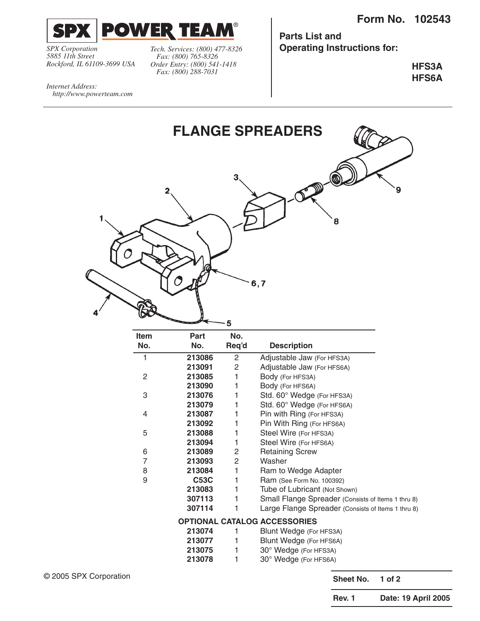

*SPX Corporation 5885 11th Street Rockford, IL 61109-3699 USA*

*http://www.powerteam.com*

*Internet Address:* 

*Fax: (800) 765-8326 Order Entry: (800) 541-1418 Fax: (800) 288-7031*

**Parts List and** *Tech. Services: (800) 477-8326* **Operating Instructions for:**

> **HFS3A HFS6A**

**FLANGE SPREADERS** 3  $\overline{2}$ 8  $6,7$  $\overline{\mathbf{5}}$ 

| Item | Part        | No.   |                                                    |
|------|-------------|-------|----------------------------------------------------|
| No.  | No.         | Req'd | <b>Description</b>                                 |
| 1    | 213086      | 2     | Adjustable Jaw (For HFS3A)                         |
|      | 213091      | 2     | Adjustable Jaw (For HFS6A)                         |
| 2    | 213085      | 1     | Body (For HFS3A)                                   |
|      | 213090      | 1     | Body (For HFS6A)                                   |
| 3    | 213076      | 1     | Std. 60° Wedge (For HFS3A)                         |
|      | 213079      | 1     | Std. 60° Wedge (For HFS6A)                         |
| 4    | 213087      | 1     | Pin with Ring (For HFS3A)                          |
|      | 213092      | 1     | Pin With Ring (For HFS6A)                          |
| 5    | 213088      | 1     | Steel Wire (For HFS3A)                             |
|      | 213094      | 1     | Steel Wire (For HFS6A)                             |
| 6    | 213089      | 2     | <b>Retaining Screw</b>                             |
| 7    | 213093      | 2     | Washer                                             |
| 8    | 213084      | 1     | Ram to Wedge Adapter                               |
| 9    | <b>C53C</b> | 1     | Ram (See Form No. 100392)                          |
|      | 213083      | 1     | Tube of Lubricant (Not Shown)                      |
|      | 307113      | 1     | Small Flange Spreader (Consists of Items 1 thru 8) |
|      | 307114      | 1     | Large Flange Spreader (Consists of Items 1 thru 8) |
|      |             |       | <b>OPTIONAL CATALOG ACCESSORIES</b>                |
|      | 213074      | 1     | Blunt Wedge (For HFS3A)                            |
|      | 213077      | 1     | Blunt Wedge (For HFS6A)                            |
|      | 213075      | 1     | 30° Wedge (For HFS3A)                              |
|      | 213078      | 1     | 30° Wedge (For HFS6A)                              |

**Sheet No. 1 of 2**

**Rev. 1 Date: 19 April 2005**